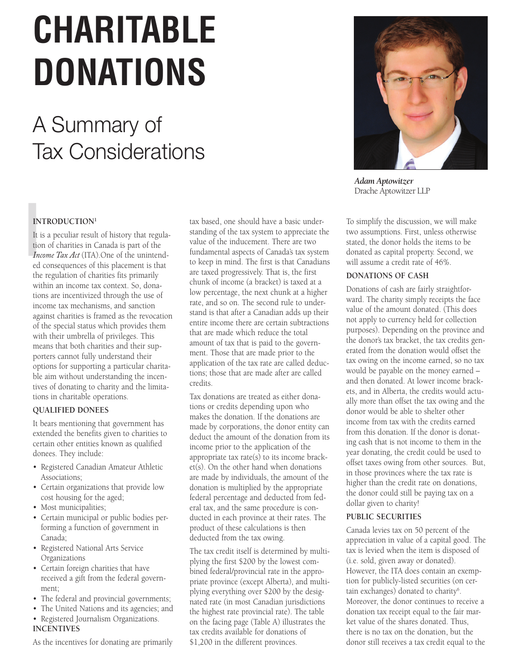# **CHARITABLE DONATIONS**

# A Summary of Tax Considerations

# **INTRODUCTION1**

IN<br>It is<br>in<br>Internal It is a peculiar result of history that regulation of charities in Canada is part of the *Income Tax Act* (ITA).One of the unintended consequences of this placement is that the regulation of charities fits primarily within an income tax context. So, donations are incentivized through the use of income tax mechanisms, and sanction against charities is framed as the revocation of the special status which provides them with their umbrella of privileges. This means that both charities and their supporters cannot fully understand their options for supporting a particular charitable aim without understanding the incentives of donating to charity and the limitations in charitable operations.

# **QUALIFIED DONEES**

It bears mentioning that government has extended the benefits given to charities to certain other entities known as qualified donees. They include:

- Registered Canadian Amateur Athletic Associations;
- Certain organizations that provide low cost housing for the aged;
- Most municipalities;
- Certain municipal or public bodies performing a function of government in Canada;
- Registered National Arts Service Organizations
- Certain foreign charities that have received a gift from the federal government;
- The federal and provincial governments;
- The United Nations and its agencies; and
- Registered Journalism Organizations. **INCENTIVES**

As the incentives for donating are primarily

tax based, one should have a basic understanding of the tax system to appreciate the value of the inducement. There are two fundamental aspects of Canada's tax system to keep in mind. The first is that Canadians are taxed progressively. That is, the first chunk of income (a bracket) is taxed at a low percentage, the next chunk at a higher rate, and so on. The second rule to understand is that after a Canadian adds up their entire income there are certain subtractions that are made which reduce the total amount of tax that is paid to the government. Those that are made prior to the application of the tax rate are called deductions; those that are made after are called credits.

Tax donations are treated as either donations or credits depending upon who makes the donation. If the donations are made by corporations, the donor entity can deduct the amount of the donation from its income prior to the application of the appropriate tax rate(s) to its income bracket(s). On the other hand when donations are made by individuals, the amount of the donation is multiplied by the appropriate federal percentage and deducted from federal tax, and the same procedure is conducted in each province at their rates. The product of these calculations is then deducted from the tax owing.

The tax credit itself is determined by multiplying the first \$200 by the lowest combined federal/provincial rate in the appropriate province (except Alberta), and multiplying everything over \$200 by the designated rate (in most Canadian jurisdictions the highest rate provincial rate). The table on the facing page (Table A) illustrates the tax credits available for donations of \$1,200 in the different provinces.



*Adam Aptowitzer* Drache Aptowitzer LLP

To simplify the discussion, we will make two assumptions. First, unless otherwise stated, the donor holds the items to be donated as capital property. Second, we will assume a credit rate of 46%.

# **DONATIONS OF CASH**

Donations of cash are fairly straightforward. The charity simply receipts the face value of the amount donated. (This does not apply to currency held for collection purposes). Depending on the province and the donor's tax bracket, the tax credits generated from the donation would offset the tax owing on the income earned, so no tax would be payable on the money earned – and then donated. At lower income brackets, and in Alberta, the credits would actually more than offset the tax owing and the donor would be able to shelter other income from tax with the credits earned from this donation. If the donor is donating cash that is not income to them in the year donating, the credit could be used to offset taxes owing from other sources. But, in those provinces where the tax rate is higher than the credit rate on donations, the donor could still be paying tax on a dollar given to charity!

# **PUBLIC SECURITIES**

Canada levies tax on 50 percent of the appreciation in value of a capital good. The tax is levied when the item is disposed of (i.e. sold, given away or donated). However, the ITA does contain an exemption for publicly-listed securities (on certain exchanges) donated to charity<sup>6</sup>. Moreover, the donor continues to receive a donation tax receipt equal to the fair market value of the shares donated. Thus, there is no tax on the donation, but the donor still receives a tax credit equal to the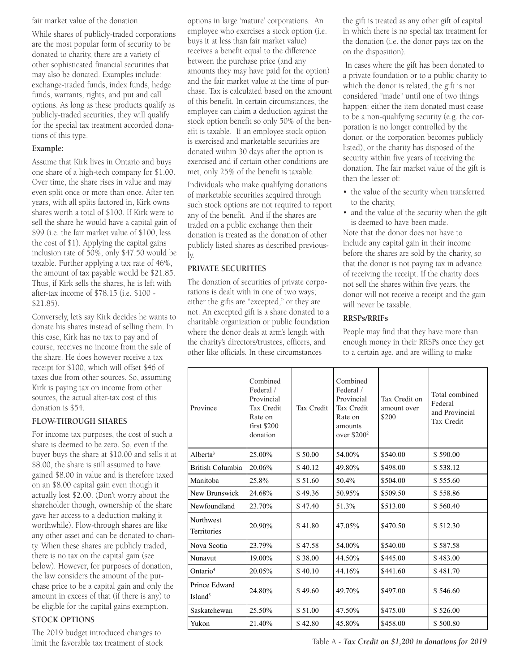fair market value of the donation.

While shares of publicly-traded corporations are the most popular form of security to be donated to charity, there are a variety of other sophisticated financial securities that may also be donated. Examples include: exchange-traded funds, index funds, hedge funds, warrants, rights, and put and call options. As long as these products qualify as publicly-traded securities, they will qualify for the special tax treatment accorded donations of this type.

# **Example:**

Assume that Kirk lives in Ontario and buys one share of a high-tech company for \$1.00. Over time, the share rises in value and may even split once or more than once. After ten years, with all splits factored in, Kirk owns shares worth a total of \$100. If Kirk were to sell the share he would have a capital gain of \$99 (i.e. the fair market value of \$100, less the cost of \$1). Applying the capital gains inclusion rate of 50%, only \$47.50 would be taxable. Further applying a tax rate of 46%, the amount of tax payable would be \$21.85. Thus, if Kirk sells the shares, he is left with after-tax income of \$78.15 (i.e. \$100 - \$21.85).

Conversely, let's say Kirk decides he wants to donate his shares instead of selling them. In this case, Kirk has no tax to pay and of course, receives no income from the sale of the share. He does however receive a tax receipt for \$100, which will offset \$46 of taxes due from other sources. So, assuming Kirk is paying tax on income from other sources, the actual after-tax cost of this donation is \$54.

# **FLOW-THROUGH SHARES**

For income tax purposes, the cost of such a share is deemed to be zero. So, even if the buyer buys the share at \$10.00 and sells it at \$8.00, the share is still assumed to have gained \$8.00 in value and is therefore taxed on an \$8.00 capital gain even though it actually lost \$2.00. (Don't worry about the shareholder though, ownership of the share gave her access to a deduction making it worthwhile). Flow-through shares are like any other asset and can be donated to charity. When these shares are publicly traded, there is no tax on the capital gain (see below). However, for purposes of donation, the law considers the amount of the purchase price to be a capital gain and only the amount in excess of that (if there is any) to be eligible for the capital gains exemption.

# **STOCK OPTIONS**

The 2019 budget introduced changes to limit the favorable tax treatment of stock options in large 'mature' corporations. An employee who exercises a stock option (i.e. buys it at less than fair market value) receives a benefit equal to the difference between the purchase price (and any amounts they may have paid for the option) and the fair market value at the time of purchase. Tax is calculated based on the amount of this benefit. In certain circumstances, the employee can claim a deduction against the stock option benefit so only 50% of the benefit is taxable. If an employee stock option is exercised and marketable securities are donated within 30 days after the option is exercised and if certain other conditions are met, only 25% of the benefit is taxable.

Individuals who make qualifying donations of marketable securities acquired through such stock options are not required to report any of the benefit. And if the shares are traded on a public exchange then their donation is treated as the donation of other publicly listed shares as described previously.

# **PRIVATE SECURITIES**

The donation of securities of private corporations is dealt with in one of two ways; either the gifts are "excepted," or they are not. An excepted gift is a share donated to a charitable organization or public foundation where the donor deals at arm's length with the charity's directors/trustees, officers, and other like officials. In these circumstances

the gift is treated as any other gift of capital in which there is no special tax treatment for the donation (i.e. the donor pays tax on the on the disposition).

 In cases where the gift has been donated to a private foundation or to a public charity to which the donor is related, the gift is not considered "made" until one of two things happen: either the item donated must cease to be a non-qualifying security (e.g. the corporation is no longer controlled by the donor, or the corporation becomes publicly listed), or the charity has disposed of the security within five years of receiving the donation. The fair market value of the gift is then the lesser of:

- the value of the security when transferred to the charity,
- and the value of the security when the gift is deemed to have been made.

Note that the donor does not have to include any capital gain in their income before the shares are sold by the charity, so that the donor is not paying tax in advance of receiving the receipt. If the charity does not sell the shares within five years, the donor will not receive a receipt and the gain will never be taxable.

# **RRSPs/RRIFs**

People may find that they have more than enough money in their RRSPs once they get to a certain age, and are willing to make

| Province                             | Combined<br>Federal /<br>Provincial<br>Tax Credit<br>Rate on<br>first \$200<br>donation | Tax Credit | Combined<br>Federal /<br>Provincial<br>Tax Credit<br>Rate on<br>amounts<br>over $$2002$ | Tax Credit on<br>amount over<br>\$200 | Total combined<br>Federal<br>and Provincial<br>Tax Credit |
|--------------------------------------|-----------------------------------------------------------------------------------------|------------|-----------------------------------------------------------------------------------------|---------------------------------------|-----------------------------------------------------------|
| Alberta <sup>3</sup>                 | 25.00%                                                                                  | \$50.00    | 54.00%                                                                                  | \$540.00                              | \$590.00                                                  |
| British Columbia                     | 20.06%                                                                                  | \$40.12    | 49.80%                                                                                  | \$498.00                              | \$538.12                                                  |
| Manitoba                             | 25.8%                                                                                   | \$51.60    | 50.4%                                                                                   | \$504.00                              | \$555.60                                                  |
| New Brunswick                        | 24.68%                                                                                  | \$49.36    | 50.95%                                                                                  | \$509.50                              | \$558.86                                                  |
| Newfoundland                         | 23.70%                                                                                  | \$47.40    | 51.3%                                                                                   | \$513.00                              | \$560.40                                                  |
| <b>Northwest</b><br>Territories      | 20.90%                                                                                  | \$41.80    | 47.05%                                                                                  | \$470.50                              | \$512.30                                                  |
| Nova Scotia                          | 23.79%                                                                                  | \$47.58    | 54.00%                                                                                  | \$540.00                              | \$587.58                                                  |
| Nunavut                              | 19.00%                                                                                  | \$38.00    | 44.50%                                                                                  | \$445.00                              | \$483.00                                                  |
| Ontario <sup>4</sup>                 | 20.05%                                                                                  | \$40.10    | 44.16%                                                                                  | \$441.60                              | \$481.70                                                  |
| Prince Edward<br>Island <sup>5</sup> | 24.80%                                                                                  | \$49.60    | 49.70%                                                                                  | \$497.00                              | \$546.60                                                  |
| Saskatchewan                         | 25.50%                                                                                  | \$51.00    | 47.50%                                                                                  | \$475.00                              | \$526.00                                                  |
| Yukon                                | 21.40%                                                                                  | \$42.80    | 45.80%                                                                                  | \$458.00                              | \$500.80                                                  |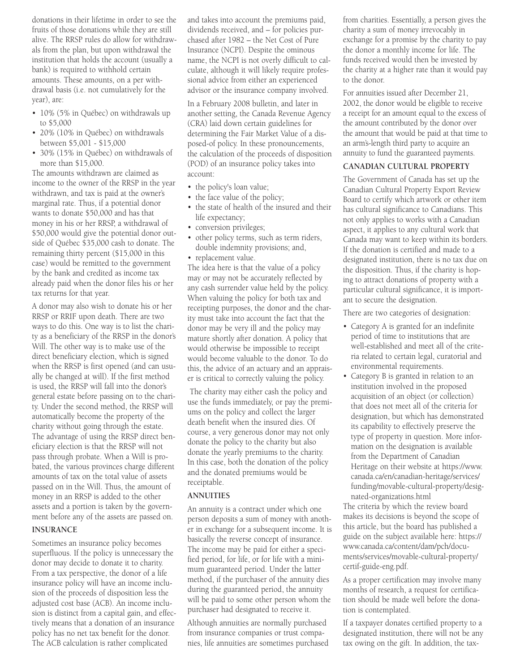donations in their lifetime in order to see the fruits of those donations while they are still alive. The RRSP rules do allow for withdrawals from the plan, but upon withdrawal the institution that holds the account (usually a bank) is required to withhold certain amounts. These amounts, on a per withdrawal basis (i.e. not cumulatively for the year), are:

- 10% (5% in Québec) on withdrawals up to \$5,000
- 20% (10% in Québec) on withdrawals between \$5,001 - \$15,000
- 30% (15% in Québec) on withdrawals of more than \$15,000.

The amounts withdrawn are claimed as income to the owner of the RRSP in the year withdrawn, and tax is paid at the owner's marginal rate. Thus, if a potential donor wants to donate \$50,000 and has that money in his or her RRSP, a withdrawal of \$50,000 would give the potential donor outside of Québec \$35,000 cash to donate. The remaining thirty percent (\$15,000 in this case) would be remitted to the government by the bank and credited as income tax already paid when the donor files his or her tax returns for that year.

A donor may also wish to donate his or her RRSP or RRIF upon death. There are two ways to do this. One way is to list the charity as a beneficiary of the RRSP in the donor's Will. The other way is to make use of the direct beneficiary election, which is signed when the RRSP is first opened (and can usually be changed at will). If the first method is used, the RRSP will fall into the donor's general estate before passing on to the charity. Under the second method, the RRSP will automatically become the property of the charity without going through the estate. The advantage of using the RRSP direct beneficiary election is that the RRSP will not pass through probate. When a Will is probated, the various provinces charge different amounts of tax on the total value of assets passed on in the Will. Thus, the amount of money in an RRSP is added to the other assets and a portion is taken by the government before any of the assets are passed on.

# **INSURANCE**

Sometimes an insurance policy becomes superfluous. If the policy is unnecessary the donor may decide to donate it to charity. From a tax perspective, the donor of a life insurance policy will have an income inclusion of the proceeds of disposition less the adjusted cost base (ACB). An income inclusion is distinct from a capital gain, and effectively means that a donation of an insurance policy has no net tax benefit for the donor. The ACB calculation is rather complicated

and takes into account the premiums paid, dividends received, and – for policies purchased after 1982 – the Net Cost of Pure Insurance (NCPI). Despite the ominous name, the NCPI is not overly difficult to calculate, although it will likely require professional advice from either an experienced advisor or the insurance company involved.

In a February 2008 bulletin, and later in another setting, the Canada Revenue Agency (CRA) laid down certain guidelines for determining the Fair Market Value of a disposed-of policy. In these pronouncements, the calculation of the proceeds of disposition (POD) of an insurance policy takes into account:

- the policy's loan value;
- the face value of the policy;
- the state of health of the insured and their life expectancy;
- conversion privileges;
- other policy terms, such as term riders, double indemnity provisions; and,
- replacement value.

The idea here is that the value of a policy may or may not be accurately reflected by any cash surrender value held by the policy. When valuing the policy for both tax and receipting purposes, the donor and the charity must take into account the fact that the donor may be very ill and the policy may mature shortly after donation. A policy that would otherwise be impossible to receipt would become valuable to the donor. To do this, the advice of an actuary and an appraiser is critical to correctly valuing the policy.

 The charity may either cash the policy and use the funds immediately, or pay the premiums on the policy and collect the larger death benefit when the insured dies. Of course, a very generous donor may not only donate the policy to the charity but also donate the yearly premiums to the charity. In this case, both the donation of the policy and the donated premiums would be receiptable.

#### **ANNUITIES**

An annuity is a contract under which one person deposits a sum of money with another in exchange for a subsequent income. It is basically the reverse concept of insurance. The income may be paid for either a specified period, for life, or for life with a minimum guaranteed period. Under the latter method, if the purchaser of the annuity dies during the guaranteed period, the annuity will be paid to some other person whom the purchaser had designated to receive it.

Although annuities are normally purchased from insurance companies or trust companies, life annuities are sometimes purchased from charities. Essentially, a person gives the charity a sum of money irrevocably in exchange for a promise by the charity to pay the donor a monthly income for life. The funds received would then be invested by the charity at a higher rate than it would pay to the donor.

For annuities issued after December 21, 2002, the donor would be eligible to receive a receipt for an amount equal to the excess of the amount contributed by the donor over the amount that would be paid at that time to an arm's-length third party to acquire an annuity to fund the guaranteed payments.

## **CANADIAN CULTURAL PROPERTY**

The Government of Canada has set up the Canadian Cultural Property Export Review Board to certify which artwork or other item has cultural significance to Canadians. This not only applies to works with a Canadian aspect, it applies to any cultural work that Canada may want to keep within its borders. If the donation is certified and made to a designated institution, there is no tax due on the disposition. Thus, if the charity is hoping to attract donations of property with a particular cultural significance, it is important to secure the designation.

There are two categories of designation:

- Category A is granted for an indefinite period of time to institutions that are well-established and meet all of the criteria related to certain legal, curatorial and environmental requirements.
- Category B is granted in relation to an institution involved in the proposed acquisition of an object (or collection) that does not meet all of the criteria for designation, but which has demonstrated its capability to effectively preserve the type of property in question. More information on the designation is available from the Department of Canadian Heritage on their website at https://www. canada.ca/en/canadian-heritage/services/ funding/movable-cultural-property/designated-organizations.html

The criteria by which the review board makes its decisions is beyond the scope of this article, but the board has published a guide on the subject available here: https:// www.canada.ca/content/dam/pch/documents/services/movable-cultural-property/ certif-guide-eng.pdf.

As a proper certification may involve many months of research, a request for certification should be made well before the donation is contemplated.

If a taxpayer donates certified property to a designated institution, there will not be any tax owing on the gift. In addition, the tax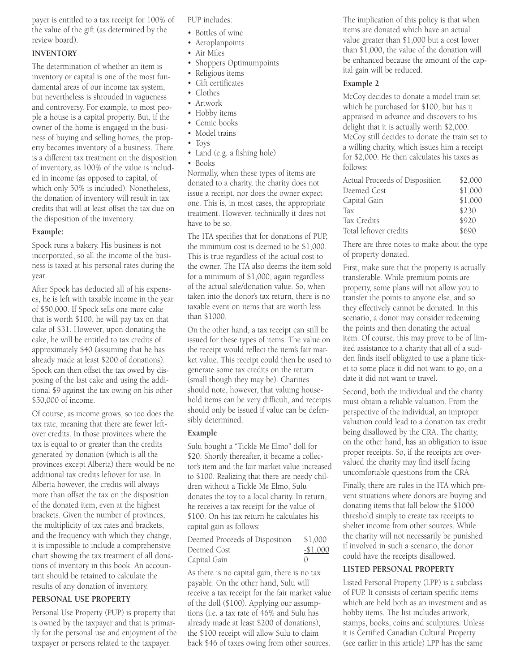payer is entitled to a tax receipt for 100% of the value of the gift (as determined by the review board).

# **INVENTORY**

The determination of whether an item is inventory or capital is one of the most fundamental areas of our income tax system, but nevertheless is shrouded in vagueness and controversy. For example, to most people a house is a capital property. But, if the owner of the home is engaged in the business of buying and selling homes, the property becomes inventory of a business. There is a different tax treatment on the disposition of inventory, as 100% of the value is included in income (as opposed to capital, of which only 50% is included). Nonetheless, the donation of inventory will result in tax credits that will at least offset the tax due on the disposition of the inventory.

#### **Example:**

Spock runs a bakery. His business is not incorporated, so all the income of the business is taxed at his personal rates during the year.

After Spock has deducted all of his expenses, he is left with taxable income in the year of \$50,000. If Spock sells one more cake that is worth \$100, he will pay tax on that cake of \$31. However, upon donating the cake, he will be entitled to tax credits of approximately \$40 (assuming that he has already made at least \$200 of donations). Spock can then offset the tax owed by disposing of the last cake and using the additional \$9 against the tax owing on his other \$50,000 of income.

Of course, as income grows, so too does the tax rate, meaning that there are fewer leftover credits. In those provinces where the tax is equal to or greater than the credits generated by donation (which is all the provinces except Alberta) there would be no additional tax credits leftover for use. In Alberta however, the credits will always more than offset the tax on the disposition of the donated item, even at the highest brackets. Given the number of provinces, the multiplicity of tax rates and brackets, and the frequency with which they change, it is impossible to include a comprehensive chart showing the tax treatment of all donations of inventory in this book. An accountant should be retained to calculate the results of any donation of inventory.

# **PERSONAL USE PROPERTY**

Personal Use Property (PUP) is property that is owned by the taxpayer and that is primarily for the personal use and enjoyment of the taxpayer or persons related to the taxpayer.

PUP includes:

- Bottles of wine
- Aeroplanpoints
- Air Miles
- Shoppers Optimumpoints
- Religious items
- Gift certificates
- Clothes
- Artwork
- Hobby items
- Comic books • Model trains
- Toys
- Land (e.g. a fishing hole)
- Books

Normally, when these types of items are donated to a charity, the charity does not issue a receipt, nor does the owner expect one. This is, in most cases, the appropriate treatment. However, technically it does not have to be so.

The ITA specifies that for donations of PUP, the minimum cost is deemed to be \$1,000. This is true regardless of the actual cost to the owner. The ITA also deems the item sold for a minimum of \$1,000, again regardless of the actual sale/donation value. So, when taken into the donor's tax return, there is no taxable event on items that are worth less than \$1000.

On the other hand, a tax receipt can still be issued for these types of items. The value on the receipt would reflect the item's fair market value. This receipt could then be used to generate some tax credits on the return (small though they may be). Charities should note, however, that valuing household items can be very difficult, and receipts should only be issued if value can be defensibly determined.

#### **Example**

Sulu bought a "Tickle Me Elmo" doll for \$20. Shortly thereafter, it became a collector's item and the fair market value increased to \$100. Realizing that there are needy children without a Tickle Me Elmo, Sulu donates the toy to a local charity. In return, he receives a tax receipt for the value of \$100. On his tax return he calculates his capital gain as follows:

| Deemed Proceeds of Disposition | \$1,000          |
|--------------------------------|------------------|
| Deemed Cost                    | -\$1,000         |
| Capital Gain                   | $\left( \right)$ |

As there is no capital gain, there is no tax payable. On the other hand, Sulu will receive a tax receipt for the fair market value of the doll (\$100). Applying our assumptions (i.e. a tax rate of 46% and Sulu has already made at least \$200 of donations), the \$100 receipt will allow Sulu to claim back \$46 of taxes owing from other sources.

The implication of this policy is that when items are donated which have an actual value greater than \$1,000 but a cost lower than \$1,000, the value of the donation will be enhanced because the amount of the capital gain will be reduced.

#### **Example 2**

McCoy decides to donate a model train set which he purchased for \$100, but has it appraised in advance and discovers to his delight that it is actually worth \$2,000. McCoy still decides to donate the train set to a willing charity, which issues him a receipt for \$2,000. He then calculates his taxes as  $f_0$ llows:

| Actual Proceeds of Disposition | \$2,000 |
|--------------------------------|---------|
| Deemed Cost                    | \$1,000 |
| Capital Gain                   | \$1,000 |
| Tax                            | \$230   |
| Tax Credits                    | \$920   |
| Total leftover credits         | \$690   |

There are three notes to make about the type of property donated.

First, make sure that the property is actually transferable. While premium points are property, some plans will not allow you to transfer the points to anyone else, and so they effectively cannot be donated. In this scenario, a donor may consider redeeming the points and then donating the actual item. Of course, this may prove to be of limited assistance to a charity that all of a sudden finds itself obligated to use a plane ticket to some place it did not want to go, on a date it did not want to travel.

Second, both the individual and the charity must obtain a reliable valuation. From the perspective of the individual, an improper valuation could lead to a donation tax credit being disallowed by the CRA. The charity, on the other hand, has an obligation to issue proper receipts. So, if the receipts are overvalued the charity may find itself facing uncomfortable questions from the CRA.

Finally, there are rules in the ITA which prevent situations where donors are buying and donating items that fall below the \$1000 threshold simply to create tax receipts to shelter income from other sources. While the charity will not necessarily be punished if involved in such a scenario, the donor could have the receipts disallowed.

# **LISTED PERSONAL PROPERTY**

Listed Personal Property (LPP) is a subclass of PUP. It consists of certain specific items which are held both as an investment and as hobby items. The list includes artwork, stamps, books, coins and sculptures. Unless it is Certified Canadian Cultural Property (see earlier in this article) LPP has the same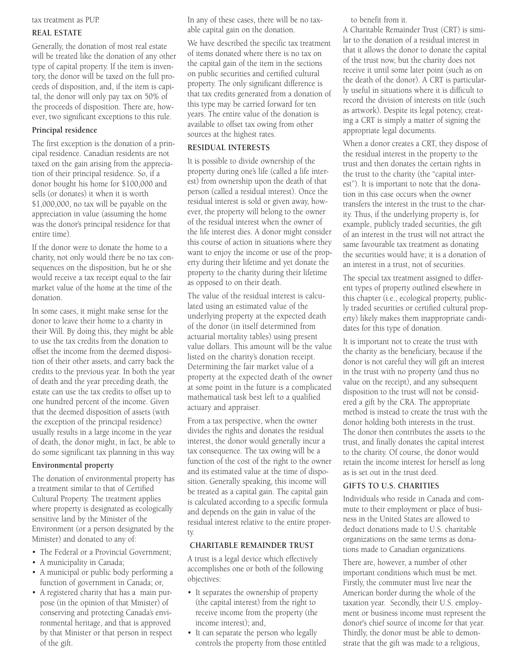#### tax treatment as PUP.

#### **REAL ESTATE**

Generally, the donation of most real estate will be treated like the donation of any other type of capital property. If the item is inventory, the donor will be taxed on the full proceeds of disposition, and, if the item is capital, the donor will only pay tax on 50% of the proceeds of disposition. There are, however, two significant exceptions to this rule.

# **Principal residence**

The first exception is the donation of a principal residence. Canadian residents are not taxed on the gain arising from the appreciation of their principal residence. So, if a donor bought his home for \$100,000 and sells (or donates) it when it is worth \$1,000,000, no tax will be payable on the appreciation in value (assuming the home was the donor's principal residence for that entire time).

If the donor were to donate the home to a charity, not only would there be no tax consequences on the disposition, but he or she would receive a tax receipt equal to the fair market value of the home at the time of the donation.

In some cases, it might make sense for the donor to leave their home to a charity in their Will. By doing this, they might be able to use the tax credits from the donation to offset the income from the deemed disposition of their other assets, and carry back the credits to the previous year. In both the year of death and the year preceding death, the estate can use the tax credits to offset up to one hundred percent of the income. Given that the deemed disposition of assets (with the exception of the principal residence) usually results in a large income in the year of death, the donor might, in fact, be able to do some significant tax planning in this way.

#### **Environmental property**

The donation of environmental property has a treatment similar to that of Certified Cultural Property. The treatment applies where property is designated as ecologically sensitive land by the Minister of the Environment (or a person designated by the Minister) and donated to any of:

- The Federal or a Provincial Government;
- A municipality in Canada;
- A municipal or public body performing a function of government in Canada; or,
- A registered charity that has a main purpose (in the opinion of that Minister) of conserving and protecting Canada's environmental heritage, and that is approved by that Minister or that person in respect of the gift.

In any of these cases, there will be no taxable capital gain on the donation.

We have described the specific tax treatment of items donated where there is no tax on the capital gain of the item in the sections on public securities and certified cultural property. The only significant difference is that tax credits generated from a donation of this type may be carried forward for ten years. The entire value of the donation is available to offset tax owing from other sources at the highest rates.

#### **RESIDUAL INTERESTS**

It is possible to divide ownership of the property during one's life (called a life interest) from ownership upon the death of that person (called a residual interest). Once the residual interest is sold or given away, however, the property will belong to the owner of the residual interest when the owner of the life interest dies. A donor might consider this course of action in situations where they want to enjoy the income or use of the property during their lifetime and yet donate the property to the charity during their lifetime as opposed to on their death.

The value of the residual interest is calculated using an estimated value of the underlying property at the expected death of the donor (in itself determined from actuarial mortality tables) using present value dollars. This amount will be the value listed on the charity's donation receipt. Determining the fair market value of a property at the expected death of the owner at some point in the future is a complicated mathematical task best left to a qualified actuary and appraiser.

From a tax perspective, when the owner divides the rights and donates the residual interest, the donor would generally incur a tax consequence. The tax owing will be a function of the cost of the right to the owner and its estimated value at the time of disposition. Generally speaking, this income will be treated as a capital gain. The capital gain is calculated according to a specific formula and depends on the gain in value of the residual interest relative to the entire property.

# **CHARITABLE REMAINDER TRUST**

A trust is a legal device which effectively accomplishes one or both of the following objectives:

- It separates the ownership of property (the capital interest) from the right to receive income from the property (the income interest); and,
- It can separate the person who legally controls the property from those entitled

to benefit from it.

A Charitable Remainder Trust (CRT) is similar to the donation of a residual interest in that it allows the donor to donate the capital of the trust now, but the charity does not receive it until some later point (such as on the death of the donor). A CRT is particularly useful in situations where it is difficult to record the division of interests on title (such as artwork). Despite its legal potency, creating a CRT is simply a matter of signing the appropriate legal documents.

When a donor creates a CRT, they dispose of the residual interest in the property to the trust and then donates the certain rights in the trust to the charity (the "capital interest"). It is important to note that the donation in this case occurs when the owner transfers the interest in the trust to the charity. Thus, if the underlying property is, for example, publicly traded securities, the gift of an interest in the trust will not attract the same favourable tax treatment as donating the securities would have; it is a donation of an interest in a trust, not of securities.

The special tax treatment assigned to different types of property outlined elsewhere in this chapter (i.e., ecological property, publicly traded securities or certified cultural property) likely makes them inappropriate candidates for this type of donation.

It is important not to create the trust with the charity as the beneficiary, because if the donor is not careful they will gift an interest in the trust with no property (and thus no value on the receipt), and any subsequent disposition to the trust will not be considered a gift by the CRA. The appropriate method is instead to create the trust with the donor holding both interests in the trust. The donor then contributes the assets to the trust, and finally donates the capital interest to the charity. Of course, the donor would retain the income interest for herself as long as is set out in the trust deed.

# **GIFTS TO U.S. CHARITIES**

Individuals who reside in Canada and commute to their employment or place of business in the United States are allowed to deduct donations made to U.S. charitable organizations on the same terms as donations made to Canadian organizations.

There are, however, a number of other important conditions which must be met. Firstly, the commuter must live near the American border during the whole of the taxation year. Secondly, their U.S. employment or business income must represent the donor's chief source of income for that year. Thirdly, the donor must be able to demonstrate that the gift was made to a religious,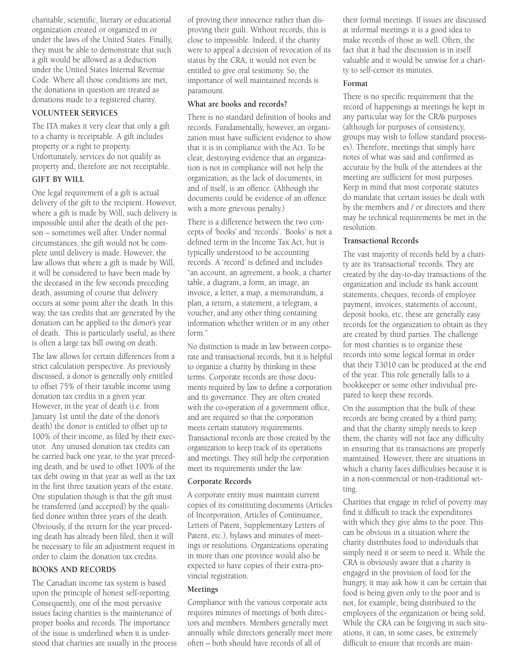charitable, scientific, literary or educational organization created or organized in or under the laws of the United States. Finally, they must be able to demonstrate that such a gift would be allowed as a deduction under the United States Internal Revenue Code. Where all those conditions are met, the donations in question are treated as donations made to a registered charity.

# **VOLUNTEER SERVICES**

The ITA makes it very clear that only a gift to a charity is receiptable. A gift includes property or a right to property. Unfortunately, services do not qualify as property and, therefore are not receiptable. **GIFT BY WILL**

One legal requirement of a gift is actual delivery of the gift to the recipient. However, where a gift is made by Will, such delivery is impossible until after the death of the person – sometimes well after. Under normal circumstances, the gift would not be complete until delivery is made. However, the law allows that where a gift is made by Will, it will be considered to have been made by the deceased in the few seconds preceding death, assuming of course that delivery occurs at some point after the death. In this way, the tax credits that are generated by the donation can be applied to the donor's year of death. This is particularly useful, as there is often a large tax bill owing on death.

The law allows for certain differences from a strict calculation perspective. As previously discussed, a donor is generally only entitled to offset 75% of their taxable income using donation tax credits in a given year. However, in the year of death (i.e. from January 1st until the date of the donor's death) the donor is entitled to offset up to 100% of their income, as filed by their executor. Any unused donation tax credits can be carried back one year, to the year preceding death, and be used to offset 100% of the tax debt owing in that year as well as the tax in the first three taxation years of the estate. One stipulation though is that the gift must be transferred (and accepted) by the qualified donee within three years of the death. Obviously, if the return for the year preceding death has already been filed, then it will be necessary to file an adjustment request in order to claim the donation tax credits.

# **BOOKS AND RECORDS**

The Canadian income tax system is based upon the principle of honest self-reporting. Consequently, one of the most pervasive issues facing charities is the maintenance of proper books and records. The importance of the issue is underlined when it is understood that charities are usually in the process of proving their innocence rather than disproving their guilt. Without records, this is close to impossible. Indeed, if the charity were to appeal a decision of revocation of its status by the CRA, it would not even be entitled to give oral testimony. So, the importance of well maintained records is paramount.

## **What are books and records?**

There is no standard definition of books and records. Fundamentally, however, an organization must have sufficient evidence to show that it is in compliance with the Act. To be clear, destroying evidence that an organization is not in compliance will not help the organization, as the lack of documents, in and of itself, is an offence. (Although the documents could be evidence of an offence with a more grievous penalty.)

There is a difference between the two concepts of 'books' and 'records'. 'Books' is not a defined term in the Income Tax Act, but is typically understood to be accounting records. A 'record' is defined and includes "an account, an agreement, a book, a charter table, a diagram, a form, an image, an invoice, a letter, a map, a memorandum, a plan, a return, a statement, a telegram, a voucher, and any other thing containing information whether written or in any other form."

No distinction is made in law between corporate and transactional records, but it is helpful to organize a charity by thinking in these terms. Corporate records are those documents required by law to define a corporation and its governance. They are often created with the co-operation of a government office, and are required so that the corporation meets certain statutory requirements. Transactional records are those created by the organization to keep track of its operations and meetings. They still help the corporation meet its requirements under the law.

# **Corporate Records**

A corporate entity must maintain current copies of its constituting documents (Articles of Incorporation, Articles of Continuance, Letters of Patent, Supplementary Letters of Patent, etc.), bylaws and minutes of meetings or resolutions. Organizations operating in more than one province would also be expected to have copies of their extra-provincial registration.

# **Meetings**

Compliance with the various corporate acts requires minutes of meetings of both directors and members. Members generally meet annually while directors generally meet more often – both should have records of all of

their formal meetings. If issues are discussed at informal meetings it is a good idea to make records of those as well. Often, the fact that it had the discussion is in itself valuable and it would be unwise for a charity to self-censor its minutes.

# **Format**

There is no specific requirement that the record of happenings at meetings be kept in any particular way for the CRA's purposes (although for purposes of consistency, groups may wish to follow standard processes). Therefore, meetings that simply have notes of what was said and confirmed as accurate by the bulk of the attendees at the meeting are sufficient for most purposes. Keep in mind that most corporate statutes do mandate that certain issues be dealt with by the members and / or directors and there may be technical requirements be met in the resolution.

# **Transactional Records**

The vast majority of records held by a charity are its 'transactional' records. They are created by the day-to-day transactions of the organization and include its bank account statements, cheques, records of employee payment, invoices, statements of account, deposit books, etc, these are generally easy records for the organization to obtain as they are created by third parties. The challenge for most charities is to organize these records into some logical format in order that their T3010 can be produced at the end of the year. This role generally falls to a bookkeeper or some other individual prepared to keep these records.

On the assumption that the bulk of these records are being created by a third party, and that the charity simply needs to keep them, the charity will not face any difficulty in ensuring that its transactions are properly maintained. However, there are situations in which a charity faces difficulties because it is in a non-commercial or non-traditional setting.

Charities that engage in relief of poverty may find it difficult to track the expenditures with which they give alms to the poor. This can be obvious in a situation where the charity distributes food to individuals that simply need it or seem to need it. While the CRA is obviously aware that a charity is engaged in the provision of food for the hungry, it may ask how it can be certain that food is being given only to the poor and is not, for example, being distributed to the employees of the organization or being sold. While the CRA can be forgiving in such situations, it can, in some cases, be extremely difficult to ensure that records are main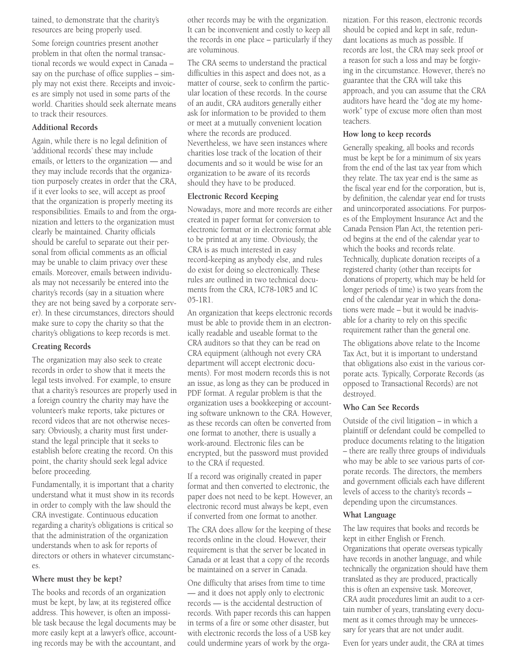tained, to demonstrate that the charity's resources are being properly used.

Some foreign countries present another problem in that often the normal transactional records we would expect in Canada – say on the purchase of office supplies – simply may not exist there. Receipts and invoices are simply not used in some parts of the world. Charities should seek alternate means to track their resources.

## **Additional Records**

Again, while there is no legal definition of 'additional records' these may include emails, or letters to the organization — and they may include records that the organization purposely creates in order that the CRA, if it ever looks to see, will accept as proof that the organization is properly meeting its responsibilities. Emails to and from the organization and letters to the organization must clearly be maintained. Charity officials should be careful to separate out their personal from official comments as an official may be unable to claim privacy over these emails. Moreover, emails between individuals may not necessarily be entered into the charity's records (say in a situation where they are not being saved by a corporate server). In these circumstances, directors should make sure to copy the charity so that the charity's obligations to keep records is met.

#### **Creating Records**

The organization may also seek to create records in order to show that it meets the legal tests involved. For example, to ensure that a charity's resources are properly used in a foreign country the charity may have the volunteer's make reports, take pictures or record videos that are not otherwise necessary. Obviously, a charity must first understand the legal principle that it seeks to establish before creating the record. On this point, the charity should seek legal advice before proceeding.

Fundamentally, it is important that a charity understand what it must show in its records in order to comply with the law should the CRA investigate. Continuous education regarding a charity's obligations is critical so that the administration of the organization understands when to ask for reports of directors or others in whatever circumstances.

#### **Where must they be kept?**

The books and records of an organization must be kept, by law, at its registered office address. This however, is often an impossible task because the legal documents may be more easily kept at a lawyer's office, accounting records may be with the accountant, and other records may be with the organization. It can be inconvenient and costly to keep all the records in one place – particularly if they are voluminous.

The CRA seems to understand the practical difficulties in this aspect and does not, as a matter of course, seek to confirm the particular location of these records. In the course of an audit, CRA auditors generally either ask for information to be provided to them or meet at a mutually convenient location where the records are produced. Nevertheless, we have seen instances where charities lose track of the location of their documents and so it would be wise for an organization to be aware of its records should they have to be produced.

#### **Electronic Record Keeping**

Nowadays, more and more records are either created in paper format for conversion to electronic format or in electronic format able to be printed at any time. Obviously, the CRA is as much interested in easy record-keeping as anybody else, and rules do exist for doing so electronically. These rules are outlined in two technical documents from the CRA, IC78-10R5 and IC 05-1R1.

An organization that keeps electronic records must be able to provide them in an electronically readable and useable format to the CRA auditors so that they can be read on CRA equipment (although not every CRA department will accept electronic documents). For most modern records this is not an issue, as long as they can be produced in PDF format. A regular problem is that the organization uses a bookkeeping or accounting software unknown to the CRA. However, as these records can often be converted from one format to another, there is usually a work-around. Electronic files can be encrypted, but the password must provided to the CRA if requested.

If a record was originally created in paper format and then converted to electronic, the paper does not need to be kept. However, an electronic record must always be kept, even if converted from one format to another.

The CRA does allow for the keeping of these records online in the cloud. However, their requirement is that the server be located in Canada or at least that a copy of the records be maintained on a server in Canada.

One difficulty that arises from time to time — and it does not apply only to electronic records — is the accidental destruction of records. With paper records this can happen in terms of a fire or some other disaster, but with electronic records the loss of a USB key could undermine years of work by the orga-

nization. For this reason, electronic records should be copied and kept in safe, redundant locations as much as possible. If records are lost, the CRA may seek proof or a reason for such a loss and may be forgiving in the circumstance. However, there's no guarantee that the CRA will take this approach, and you can assume that the CRA auditors have heard the "dog ate my homework" type of excuse more often than most teachers.

#### **How long to keep records**

Generally speaking, all books and records must be kept be for a minimum of six years from the end of the last tax year from which they relate. The tax year end is the same as the fiscal year end for the corporation, but is, by definition, the calendar year end for trusts and unincorporated associations. For purposes of the Employment Insurance Act and the Canada Pension Plan Act, the retention period begins at the end of the calendar year to which the books and records relate. Technically, duplicate donation receipts of a registered charity (other than receipts for donations of property, which may be held for longer periods of time) is two years from the end of the calendar year in which the donations were made – but it would be inadvisable for a charity to rely on this specific requirement rather than the general one.

The obligations above relate to the Income Tax Act, but it is important to understand that obligations also exist in the various corporate acts. Typically, Corporate Records (as opposed to Transactional Records) are not destroyed.

# **Who Can See Records**

Outside of the civil litigation – in which a plaintiff or defendant could be compelled to produce documents relating to the litigation – there are really three groups of individuals who may be able to see various parts of corporate records. The directors, the members and government officials each have different levels of access to the charity's records – depending upon the circumstances.

#### **What Language**

The law requires that books and records be kept in either English or French. Organizations that operate overseas typically have records in another language, and while technically the organization should have them translated as they are produced, practically this is often an expensive task. Moreover, CRA audit procedures limit an audit to a certain number of years, translating every document as it comes through may be unnecessary for years that are not under audit.

Even for years under audit, the CRA at times